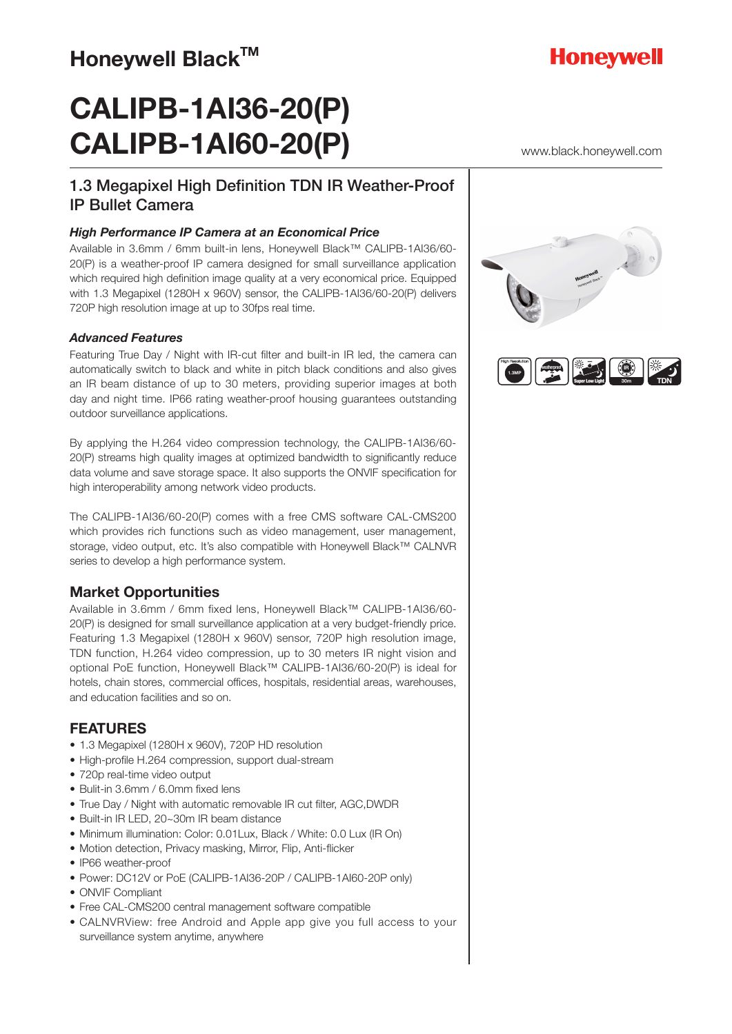# **CALIPB-1AI36-20(P) CALIPB-1AI60-20(P)**

# 1.3 Megapixel High Definition TDN IR Weather-Proof IP Bullet Camera

#### *High Performance IP Camera at an Economical Price*

Available in 3.6mm / 6mm built-in lens, Honeywell Black™ CALIPB-1AI36/60- 20(P) is a weather-proof IP camera designed for small surveillance application which required high definition image quality at a very economical price. Equipped with 1.3 Megapixel (1280H x 960V) sensor, the CALIPB-1AI36/60-20(P) delivers 720P high resolution image at up to 30fps real time.

#### *Advanced Features*

Featuring True Day / Night with IR-cut filter and built-in IR led, the camera can automatically switch to black and white in pitch black conditions and also gives an IR beam distance of up to 30 meters, providing superior images at both day and night time. IP66 rating weather-proof housing guarantees outstanding outdoor surveillance applications.

By applying the H.264 video compression technology, the CALIPB-1AI36/60- 20(P) streams high quality images at optimized bandwidth to significantly reduce data volume and save storage space. It also supports the ONVIF specification for high interoperability among network video products.

The CALIPB-1AI36/60-20(P) comes with a free CMS software CAL-CMS200 which provides rich functions such as video management, user management, storage, video output, etc. It's also compatible with Honeywell Black™ CALNVR series to develop a high performance system.

### **Market Opportunities**

Available in 3.6mm / 6mm fixed lens, Honeywell Black™ CALIPB-1AI36/60- 20(P) is designed for small surveillance application at a very budget-friendly price. Featuring 1.3 Megapixel (1280H x 960V) sensor, 720P high resolution image, TDN function, H.264 video compression, up to 30 meters IR night vision and optional PoE function, Honeywell Black™ CALIPB-1AI36/60-20(P) is ideal for hotels, chain stores, commercial offices, hospitals, residential areas, warehouses, and education facilities and so on.

### **FEATURES**

- 1.3 Megapixel (1280H x 960V), 720P HD resolution
- High-profile H.264 compression, support dual-stream
- 720p real-time video output
- Bulit-in 3.6mm / 6.0mm fixed lens
- True Day / Night with automatic removable IR cut filter, AGC,DWDR
- Built-in IR LED, 20~30m IR beam distance
- Minimum illumination: Color: 0.01Lux, Black / White: 0.0 Lux (IR On)
- Motion detection, Privacy masking, Mirror, Flip, Anti-flicker
- IP66 weather-proof
- Power: DC12V or PoE (CALIPB-1AI36-20P / CALIPB-1AI60-20P only)
- ONVIF Compliant
- Free CAL-CMS200 central management software compatible
- CALNVRView: free Android and Apple app give you full access to your surveillance system anytime, anywhere





**30m**

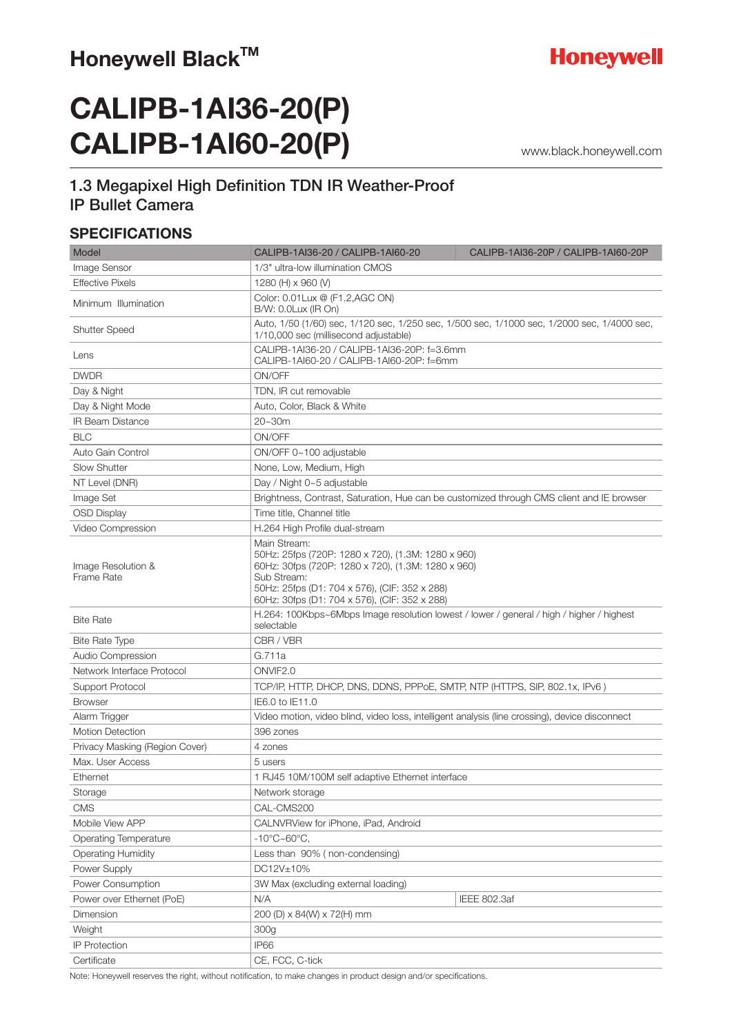# **CALIPB-1AI36-20(P) CALIPB-1AI60-20(P)**

www.black.honeywell.com

## 1.3 Megapixel High Definition TDN IR Weather-Proof IP Bullet Camera

#### **SPECIFICATIONS**

| Model                            | CALIPB-1AI36-20 / CALIPB-1AI60-20                                                                                                                                                                                                         | CALIPB-1AI36-20P / CALIPB-1AI60-20P |
|----------------------------------|-------------------------------------------------------------------------------------------------------------------------------------------------------------------------------------------------------------------------------------------|-------------------------------------|
| Image Sensor                     | 1/3" ultra-low illumination CMOS                                                                                                                                                                                                          |                                     |
| <b>Effective Pixels</b>          | 1280 (H) x 960 (V)                                                                                                                                                                                                                        |                                     |
| Minimum Illumination             | Color: 0.01Lux @ (F1.2,AGC ON)<br>B/W: 0.0Lux (IR On)                                                                                                                                                                                     |                                     |
| <b>Shutter Speed</b>             | Auto, 1/50 (1/60) sec, 1/120 sec, 1/250 sec, 1/500 sec, 1/1000 sec, 1/2000 sec, 1/4000 sec,<br>1/10,000 sec (millisecond adjustable)                                                                                                      |                                     |
| Lens                             | CALIPB-1AI36-20 / CALIPB-1AI36-20P: f=3.6mm<br>CALIPB-1AI60-20 / CALIPB-1AI60-20P: f=6mm                                                                                                                                                  |                                     |
| <b>DWDR</b>                      | ON/OFF                                                                                                                                                                                                                                    |                                     |
| Day & Night                      | TDN. IR cut removable                                                                                                                                                                                                                     |                                     |
| Day & Night Mode                 | Auto, Color, Black & White                                                                                                                                                                                                                |                                     |
| <b>IR Beam Distance</b>          | 20~30m                                                                                                                                                                                                                                    |                                     |
| <b>BLC</b>                       | ON/OFF                                                                                                                                                                                                                                    |                                     |
| Auto Gain Control                | ON/OFF 0~100 adjustable                                                                                                                                                                                                                   |                                     |
| <b>Slow Shutter</b>              | None, Low, Medium, High                                                                                                                                                                                                                   |                                     |
| NT Level (DNR)                   | Day / Night 0~5 adjustable                                                                                                                                                                                                                |                                     |
| Image Set                        | Brightness, Contrast, Saturation, Hue can be customized through CMS client and IE browser                                                                                                                                                 |                                     |
| <b>OSD Display</b>               | Time title, Channel title                                                                                                                                                                                                                 |                                     |
| Video Compression                | H.264 High Profile dual-stream                                                                                                                                                                                                            |                                     |
| Image Resolution &<br>Frame Rate | Main Stream:<br>50Hz: 25fps (720P: 1280 x 720), (1.3M: 1280 x 960)<br>60Hz: 30fps (720P: 1280 x 720), (1.3M: 1280 x 960)<br>Sub Stream:<br>50Hz: 25fps (D1: 704 x 576), (CIF: 352 x 288)<br>60Hz: 30fps (D1: 704 x 576), (CIF: 352 x 288) |                                     |
| <b>Bite Rate</b>                 | H.264: 100Kbps~6Mbps Image resolution lowest / lower / general / high / higher / highest<br>selectable                                                                                                                                    |                                     |
| <b>Bite Rate Type</b>            | CBR / VBR                                                                                                                                                                                                                                 |                                     |
| Audio Compression                | G.711a                                                                                                                                                                                                                                    |                                     |
| Network Interface Protocol       | ONVIF <sub>2.0</sub>                                                                                                                                                                                                                      |                                     |
| Support Protocol                 | TCP/IP, HTTP, DHCP, DNS, DDNS, PPPoE, SMTP, NTP (HTTPS, SIP, 802.1x, IPv6)                                                                                                                                                                |                                     |
| <b>Browser</b>                   | IE6.0 to IE11.0                                                                                                                                                                                                                           |                                     |
| Alarm Trigger                    | Video motion, video blind, video loss, intelligent analysis (line crossing), device disconnect                                                                                                                                            |                                     |
| <b>Motion Detection</b>          | 396 zones                                                                                                                                                                                                                                 |                                     |
| Privacy Masking (Region Cover)   | 4 zones                                                                                                                                                                                                                                   |                                     |
| Max. User Access                 | 5 users                                                                                                                                                                                                                                   |                                     |
| Ethernet                         | 1 RJ45 10M/100M self adaptive Ethernet interface                                                                                                                                                                                          |                                     |
| Storage                          | Network storage                                                                                                                                                                                                                           |                                     |
| <b>CMS</b>                       | CAL-CMS200                                                                                                                                                                                                                                |                                     |
| Mobile View APP                  | CALNVRView for iPhone, iPad, Android                                                                                                                                                                                                      |                                     |
| Operating Temperature            | $-10^{\circ}$ C $\sim$ 60 $^{\circ}$ C,                                                                                                                                                                                                   |                                     |
| <b>Operating Humidity</b>        | Less than 90% (non-condensing)                                                                                                                                                                                                            |                                     |
| Power Supply                     | DC12V±10%                                                                                                                                                                                                                                 |                                     |
| Power Consumption                | 3W Max (excluding external loading)                                                                                                                                                                                                       |                                     |
| Power over Ethernet (PoE)        | N/A                                                                                                                                                                                                                                       | IEEE 802.3af                        |
| Dimension                        | 200 (D) x 84(W) x 72(H) mm                                                                                                                                                                                                                |                                     |
| Weight                           | 300g                                                                                                                                                                                                                                      |                                     |
| <b>IP Protection</b>             | IP66                                                                                                                                                                                                                                      |                                     |
| Certificate                      | CE, FCC, C-tick                                                                                                                                                                                                                           |                                     |

Note: Honeywell reserves the right, without notification, to make changes in product design and/or specifications.